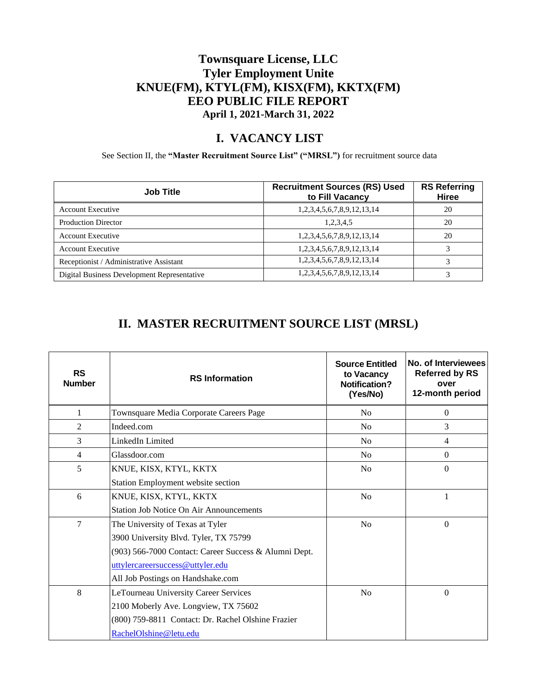### **Townsquare License, LLC Tyler Employment Unite KNUE(FM), KTYL(FM), KISX(FM), KKTX(FM) EEO PUBLIC FILE REPORT April 1, 2021-March 31, 2022**

#### **I. VACANCY LIST**

See Section II, the **"Master Recruitment Source List" ("MRSL")** for recruitment source data

| <b>Job Title</b>                            | <b>Recruitment Sources (RS) Used</b><br>to Fill Vacancy | <b>RS Referring</b><br>Hiree |
|---------------------------------------------|---------------------------------------------------------|------------------------------|
| <b>Account Executive</b>                    | 1,2,3,4,5,6,7,8,9,12,13,14                              | 20                           |
| <b>Production Director</b>                  | 1,2,3,4,5                                               | 20                           |
| <b>Account Executive</b>                    | 1,2,3,4,5,6,7,8,9,12,13,14                              | 20                           |
| <b>Account Executive</b>                    | 1,2,3,4,5,6,7,8,9,12,13,14                              |                              |
| Receptionist / Administrative Assistant     | 1,2,3,4,5,6,7,8,9,12,13,14                              |                              |
| Digital Business Development Representative | 1,2,3,4,5,6,7,8,9,12,13,14                              |                              |

## **II. MASTER RECRUITMENT SOURCE LIST (MRSL)**

| <b>RS</b><br><b>Number</b> | <b>RS</b> Information                                 | <b>Source Entitled</b><br>to Vacancy<br>Notification?<br>(Yes/No) | No. of Interviewees<br><b>Referred by RS</b><br>over<br>12-month period |
|----------------------------|-------------------------------------------------------|-------------------------------------------------------------------|-------------------------------------------------------------------------|
| 1                          | Townsquare Media Corporate Careers Page               | N <sub>o</sub>                                                    | $\Omega$                                                                |
| $\overline{2}$             | Indeed.com                                            | N <sub>0</sub>                                                    | 3                                                                       |
| 3                          | LinkedIn Limited                                      | N <sub>o</sub>                                                    | $\overline{4}$                                                          |
| $\overline{4}$             | Glassdoor.com                                         | N <sub>o</sub>                                                    | $\Omega$                                                                |
| 5                          | KNUE, KISX, KTYL, KKTX                                | No                                                                | $\Omega$                                                                |
|                            | Station Employment website section                    |                                                                   |                                                                         |
| 6                          | KNUE, KISX, KTYL, KKTX                                | No                                                                | 1                                                                       |
|                            | <b>Station Job Notice On Air Announcements</b>        |                                                                   |                                                                         |
| 7                          | The University of Texas at Tyler                      | No                                                                | $\Omega$                                                                |
|                            | 3900 University Blvd. Tyler, TX 75799                 |                                                                   |                                                                         |
|                            | (903) 566-7000 Contact: Career Success & Alumni Dept. |                                                                   |                                                                         |
|                            | uttylercareersuccess@uttyler.edu                      |                                                                   |                                                                         |
|                            | All Job Postings on Handshake.com                     |                                                                   |                                                                         |
| 8                          | LeTourneau University Career Services                 | No                                                                | $\theta$                                                                |
|                            | 2100 Moberly Ave. Longview, TX 75602                  |                                                                   |                                                                         |
|                            | (800) 759-8811 Contact: Dr. Rachel Olshine Frazier    |                                                                   |                                                                         |
|                            | RachelOlshine@letu.edu                                |                                                                   |                                                                         |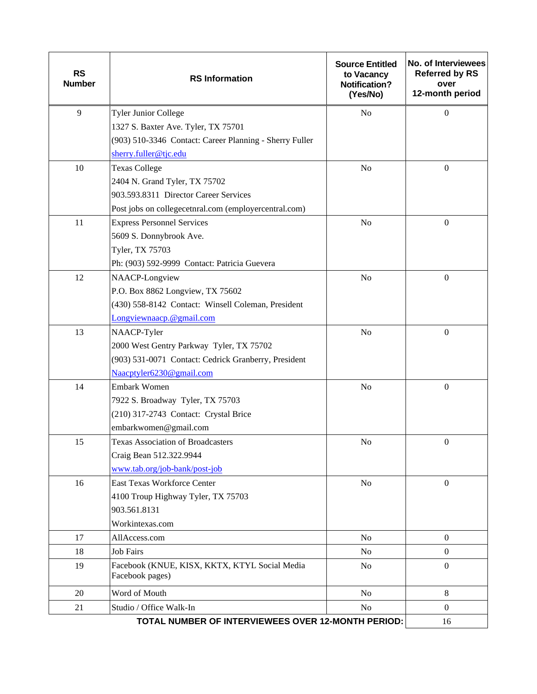| <b>RS</b><br><b>Number</b>                         | <b>RS</b> Information                                            | <b>Source Entitled</b><br>to Vacancy<br><b>Notification?</b><br>(Yes/No) | No. of Interviewees<br><b>Referred by RS</b><br>over<br>12-month period |
|----------------------------------------------------|------------------------------------------------------------------|--------------------------------------------------------------------------|-------------------------------------------------------------------------|
| 9                                                  | <b>Tyler Junior College</b>                                      | N <sub>o</sub>                                                           | $\Omega$                                                                |
|                                                    | 1327 S. Baxter Ave. Tyler, TX 75701                              |                                                                          |                                                                         |
|                                                    | (903) 510-3346 Contact: Career Planning - Sherry Fuller          |                                                                          |                                                                         |
|                                                    | sherry.fuller@tjc.edu                                            |                                                                          |                                                                         |
| 10                                                 | <b>Texas College</b>                                             | N <sub>o</sub>                                                           | $\boldsymbol{0}$                                                        |
|                                                    | 2404 N. Grand Tyler, TX 75702                                    |                                                                          |                                                                         |
|                                                    | 903.593.8311 Director Career Services                            |                                                                          |                                                                         |
|                                                    | Post jobs on collegecetnral.com (employercentral.com)            |                                                                          |                                                                         |
| 11                                                 | <b>Express Personnel Services</b>                                | N <sub>o</sub>                                                           | $\mathbf{0}$                                                            |
|                                                    | 5609 S. Donnybrook Ave.                                          |                                                                          |                                                                         |
|                                                    | Tyler, TX 75703                                                  |                                                                          |                                                                         |
|                                                    | Ph: (903) 592-9999 Contact: Patricia Guevera                     |                                                                          |                                                                         |
| 12                                                 | NAACP-Longview                                                   | N <sub>o</sub>                                                           | $\boldsymbol{0}$                                                        |
|                                                    | P.O. Box 8862 Longview, TX 75602                                 |                                                                          |                                                                         |
|                                                    | (430) 558-8142 Contact: Winsell Coleman, President               |                                                                          |                                                                         |
|                                                    | Longviewnaacp.@gmail.com                                         |                                                                          |                                                                         |
| 13                                                 | NAACP-Tyler                                                      | $\rm No$                                                                 | $\mathbf{0}$                                                            |
|                                                    | 2000 West Gentry Parkway Tyler, TX 75702                         |                                                                          |                                                                         |
|                                                    | (903) 531-0071 Contact: Cedrick Granberry, President             |                                                                          |                                                                         |
|                                                    | Naacptyler6230@gmail.com                                         |                                                                          |                                                                         |
| 14                                                 | <b>Embark Women</b>                                              | N <sub>o</sub>                                                           | $\mathbf{0}$                                                            |
|                                                    | 7922 S. Broadway Tyler, TX 75703                                 |                                                                          |                                                                         |
|                                                    | (210) 317-2743 Contact: Crystal Brice                            |                                                                          |                                                                         |
|                                                    | embarkwomen@gmail.com                                            |                                                                          |                                                                         |
| 15                                                 | <b>Texas Association of Broadcasters</b>                         | No                                                                       | $\overline{0}$                                                          |
|                                                    | Craig Bean 512.322.9944                                          |                                                                          |                                                                         |
|                                                    | www.tab.org/job-bank/post-job                                    |                                                                          |                                                                         |
| 16                                                 | <b>East Texas Workforce Center</b>                               | N <sub>o</sub>                                                           | $\mathbf{0}$                                                            |
|                                                    | 4100 Troup Highway Tyler, TX 75703                               |                                                                          |                                                                         |
|                                                    | 903.561.8131                                                     |                                                                          |                                                                         |
|                                                    | Workintexas.com                                                  |                                                                          |                                                                         |
| 17                                                 | AllAccess.com                                                    | N <sub>0</sub>                                                           | $\overline{0}$                                                          |
| 18                                                 | <b>Job Fairs</b>                                                 | No                                                                       | $\boldsymbol{0}$                                                        |
| 19                                                 | Facebook (KNUE, KISX, KKTX, KTYL Social Media<br>Facebook pages) | N <sub>o</sub>                                                           | $\boldsymbol{0}$                                                        |
| 20                                                 | Word of Mouth                                                    | No                                                                       | 8                                                                       |
| 21                                                 | Studio / Office Walk-In                                          | N <sub>o</sub>                                                           | $\Omega$                                                                |
| TOTAL NUMBER OF INTERVIEWEES OVER 12-MONTH PERIOD: |                                                                  |                                                                          | 16                                                                      |